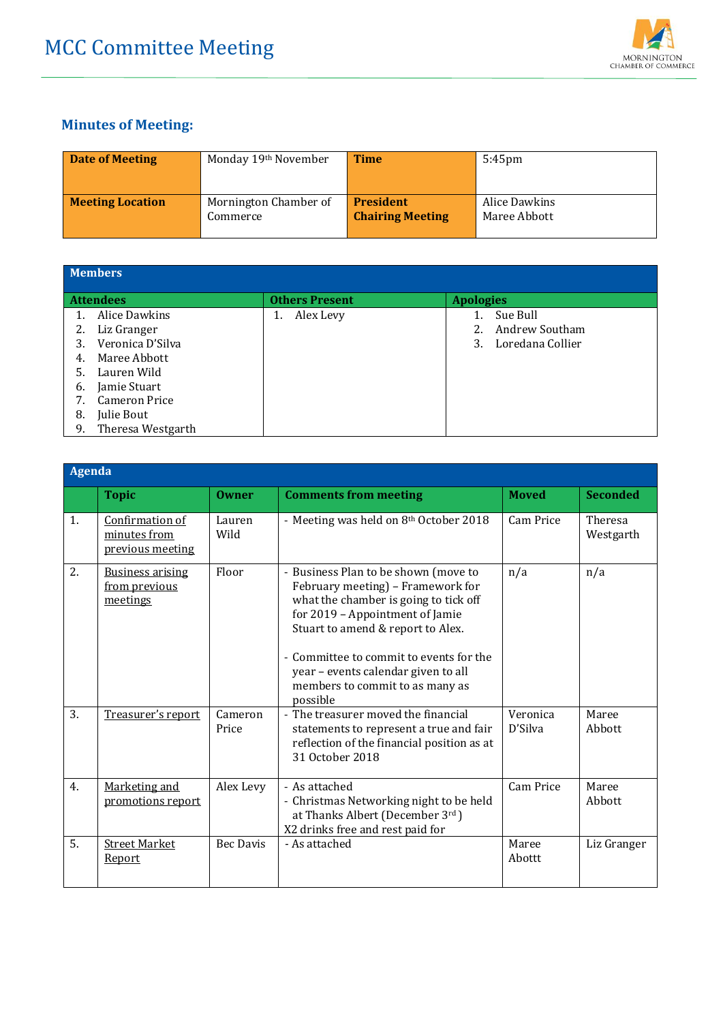

## **Minutes of Meeting:**

| <b>Date of Meeting</b>  | Monday 19th November  | <b>Time</b>             | $5:45$ pm     |
|-------------------------|-----------------------|-------------------------|---------------|
| <b>Meeting Location</b> | Mornington Chamber of | <b>President</b>        | Alice Dawkins |
|                         | Commerce              | <b>Chairing Meeting</b> | Maree Abbott  |

| <b>Members</b> |                      |                       |                        |  |
|----------------|----------------------|-----------------------|------------------------|--|
|                | <b>Attendees</b>     | <b>Others Present</b> | <b>Apologies</b>       |  |
|                | Alice Dawkins        | Alex Levy             | Sue Bull               |  |
| 2.             | Liz Granger          |                       | Andrew Southam         |  |
| 3.             | Veronica D'Silva     |                       | Loredana Collier<br>3. |  |
| 4.             | Maree Abbott         |                       |                        |  |
| 5.             | Lauren Wild          |                       |                        |  |
| 6.             | Jamie Stuart         |                       |                        |  |
| 7.             | <b>Cameron Price</b> |                       |                        |  |
| 8.             | Julie Bout           |                       |                        |  |
| 9.             | Theresa Westgarth    |                       |                        |  |

| Agenda |                                                      |                  |                                                                                                                                                                                                                                                                                                                             |                     |                      |
|--------|------------------------------------------------------|------------------|-----------------------------------------------------------------------------------------------------------------------------------------------------------------------------------------------------------------------------------------------------------------------------------------------------------------------------|---------------------|----------------------|
|        | <b>Topic</b>                                         | <b>Owner</b>     | <b>Comments from meeting</b>                                                                                                                                                                                                                                                                                                | <b>Moved</b>        | <b>Seconded</b>      |
| 1.     | Confirmation of<br>minutes from<br>previous meeting  | Lauren<br>Wild   | - Meeting was held on 8th October 2018                                                                                                                                                                                                                                                                                      | Cam Price           | Theresa<br>Westgarth |
| 2.     | <b>Business arising</b><br>from previous<br>meetings | Floor            | - Business Plan to be shown (move to<br>February meeting) - Framework for<br>what the chamber is going to tick off<br>for 2019 - Appointment of Jamie<br>Stuart to amend & report to Alex.<br>- Committee to commit to events for the<br>year - events calendar given to all<br>members to commit to as many as<br>possible | n/a                 | n/a                  |
| 3.     | Treasurer's report                                   | Cameron<br>Price | - The treasurer moved the financial<br>statements to represent a true and fair<br>reflection of the financial position as at<br>31 October 2018                                                                                                                                                                             | Veronica<br>D'Silva | Maree<br>Abbott      |
| 4.     | Marketing and<br>promotions report                   | Alex Levy        | - As attached<br>- Christmas Networking night to be held<br>at Thanks Albert (December 3rd)<br>X2 drinks free and rest paid for                                                                                                                                                                                             | <b>Cam Price</b>    | Maree<br>Abbott      |
| 5.     | <b>Street Market</b><br>Report                       | <b>Bec Davis</b> | - As attached                                                                                                                                                                                                                                                                                                               | Maree<br>Abottt     | Liz Granger          |